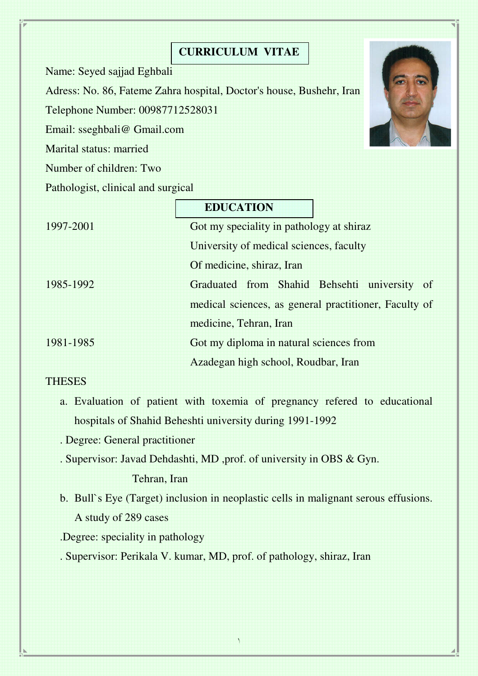## **CURRICULUM VITAE**

Name: Seyed sajjad Eghbali

Adress: No. 86, Fateme Zahra hospital, Doctor's house, Bushehr, Iran

Telephone Number: 00987712528031

Email: sseghbali@ Gmail.com

Marital status: married

Number of children: Two

Pathologist, clinical and surgical

|           | <b>EDUCATION</b>                                      |
|-----------|-------------------------------------------------------|
| 1997-2001 | Got my speciality in pathology at shiraz              |
|           | University of medical sciences, faculty               |
|           | Of medicine, shiraz, Iran                             |
| 1985-1992 | Graduated from Shahid Behsehti university of          |
|           | medical sciences, as general practitioner, Faculty of |
|           | medicine, Tehran, Iran                                |
| 1981-1985 | Got my diploma in natural sciences from               |
|           | Azadegan high school, Roudbar, Iran                   |

## **THESES**

- a. Evaluation of patient with toxemia of pregnancy refered to educational hospitals of Shahid Beheshti university during 1991-1992
- . Degree: General practitioner
- . Supervisor: Javad Dehdashti, MD ,prof. of university in OBS & Gyn.

Tehran, Iran

b. Bull`s Eye (Target) inclusion in neoplastic cells in malignant serous effusions. A study of 289 cases

١

.Degree: speciality in pathology

. Supervisor: Perikala V. kumar, MD, prof. of pathology, shiraz, Iran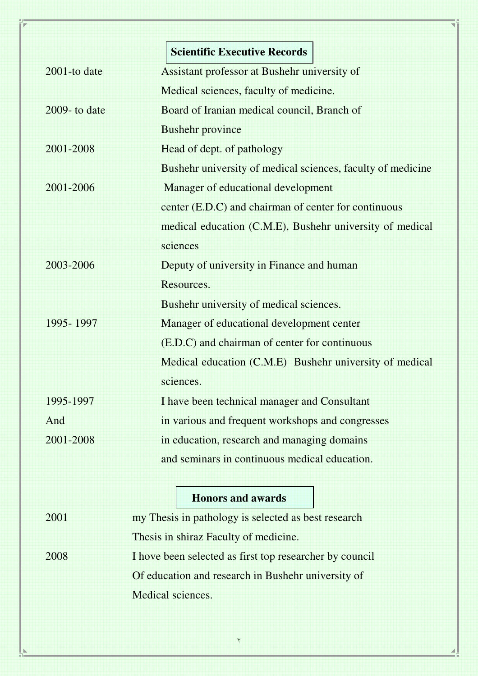|                  | <b>Scientific Executive Records</b>                         |
|------------------|-------------------------------------------------------------|
| $2001$ -to date  | Assistant professor at Bushehr university of                |
|                  | Medical sciences, faculty of medicine.                      |
| $2009 -$ to date | Board of Iranian medical council, Branch of                 |
|                  | <b>Bushehr province</b>                                     |
| 2001-2008        | Head of dept. of pathology                                  |
|                  | Bushehr university of medical sciences, faculty of medicine |
| 2001-2006        | Manager of educational development                          |
|                  | center (E.D.C) and chairman of center for continuous        |
|                  | medical education (C.M.E), Bushehr university of medical    |
|                  | sciences                                                    |
| 2003-2006        | Deputy of university in Finance and human                   |
|                  | Resources.                                                  |
|                  | Bushehr university of medical sciences.                     |
| 1995-1997        | Manager of educational development center                   |
|                  | (E.D.C) and chairman of center for continuous               |
|                  | Medical education (C.M.E) Bushehr university of medical     |
|                  | sciences.                                                   |
| 1995-1997        | I have been technical manager and Consultant                |
| And              | in various and frequent workshops and congresses            |
| 2001-2008        | in education, research and managing domains                 |
|                  | and seminars in continuous medical education.               |
|                  |                                                             |
|                  | <b>Honors and awards</b>                                    |

| 2001 | my Thesis in pathology is selected as best research     |
|------|---------------------------------------------------------|
|      | Thesis in shiraz Faculty of medicine.                   |
| 2008 | I hove been selected as first top researcher by council |
|      | Of education and research in Bushehr university of      |
|      | Medical sciences.                                       |

٢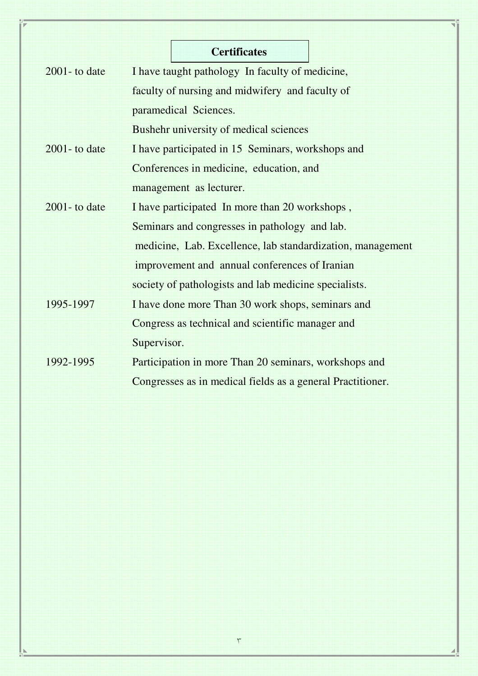|                  | <b>Certificates</b>                                        |
|------------------|------------------------------------------------------------|
| $2001 -$ to date | I have taught pathology In faculty of medicine,            |
|                  | faculty of nursing and midwifery and faculty of            |
|                  | paramedical Sciences.                                      |
|                  | Bushehr university of medical sciences                     |
| $2001 -$ to date | I have participated in 15 Seminars, workshops and          |
|                  | Conferences in medicine, education, and                    |
|                  | management as lecturer.                                    |
| $2001 -$ to date | I have participated In more than 20 workshops,             |
|                  | Seminars and congresses in pathology and lab.              |
|                  | medicine, Lab. Excellence, lab standardization, management |
|                  | improvement and annual conferences of Iranian              |
|                  | society of pathologists and lab medicine specialists.      |
| 1995-1997        | I have done more Than 30 work shops, seminars and          |
|                  | Congress as technical and scientific manager and           |
|                  | Supervisor.                                                |
| 1992-1995        | Participation in more Than 20 seminars, workshops and      |
|                  | Congresses as in medical fields as a general Practitioner. |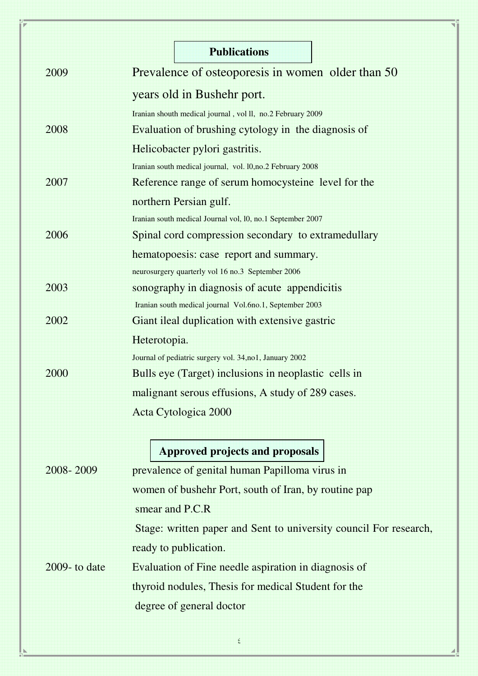|                  | <b>Publications</b>                                               |
|------------------|-------------------------------------------------------------------|
| 2009             | Prevalence of osteoporesis in women older than 50                 |
|                  | years old in Bushehr port.                                        |
|                  | Iranian shouth medical journal, vol ll, no.2 February 2009        |
| 2008             | Evaluation of brushing cytology in the diagnosis of               |
|                  | Helicobacter pylori gastritis.                                    |
|                  | Iranian south medical journal, vol. 10,no.2 February 2008         |
| 2007             | Reference range of serum homocysteine level for the               |
|                  | northern Persian gulf.                                            |
|                  | Iranian south medical Journal vol, 10, no.1 September 2007        |
| 2006             | Spinal cord compression secondary to extramedullary               |
|                  | hematopoesis: case report and summary.                            |
|                  | neurosurgery quarterly vol 16 no.3 September 2006                 |
| 2003             | sonography in diagnosis of acute appendicitis                     |
|                  | Iranian south medical journal Vol.6no.1, September 2003           |
| 2002             | Giant ileal duplication with extensive gastric                    |
|                  | Heterotopia.                                                      |
|                  | Journal of pediatric surgery vol. 34,no1, January 2002            |
| 2000             | Bulls eye (Target) inclusions in neoplastic cells in              |
|                  | malignant serous effusions, A study of 289 cases.                 |
|                  | Acta Cytologica 2000                                              |
|                  | Approved projects and proposals                                   |
| 2008-2009        |                                                                   |
|                  | prevalence of genital human Papilloma virus in                    |
|                  | women of bushehr Port, south of Iran, by routine pap              |
|                  | smear and P.C.R                                                   |
|                  | Stage: written paper and Sent to university council For research, |
|                  | ready to publication.                                             |
| $2009 -$ to date | Evaluation of Fine needle aspiration in diagnosis of              |
|                  | thyroid nodules, Thesis for medical Student for the               |
|                  | degree of general doctor                                          |
|                  |                                                                   |

٤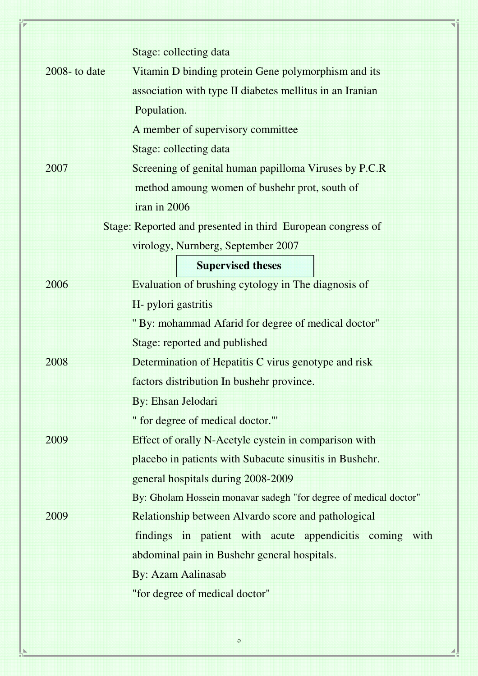|                  | Stage: collecting data                                           |
|------------------|------------------------------------------------------------------|
| $2008 -$ to date | Vitamin D binding protein Gene polymorphism and its              |
|                  | association with type II diabetes mellitus in an Iranian         |
|                  | Population.                                                      |
|                  | A member of supervisory committee                                |
|                  | Stage: collecting data                                           |
| 2007             | Screening of genital human papilloma Viruses by P.C.R            |
|                  | method amoung women of bushehr prot, south of                    |
|                  | iran in 2006                                                     |
|                  | Stage: Reported and presented in third European congress of      |
|                  | virology, Nurnberg, September 2007                               |
|                  | <b>Supervised theses</b>                                         |
| 2006             | Evaluation of brushing cytology in The diagnosis of              |
|                  | H- pylori gastritis                                              |
|                  | " By: mohammad Afarid for degree of medical doctor"              |
|                  | Stage: reported and published                                    |
| 2008             | Determination of Hepatitis C virus genotype and risk             |
|                  | factors distribution In bushehr province.                        |
|                  | By: Ehsan Jelodari                                               |
|                  | " for degree of medical doctor."'                                |
| 2009             | Effect of orally N-Acetyle cystein in comparison with            |
|                  | placebo in patients with Subacute sinusitis in Bushehr.          |
|                  | general hospitals during 2008-2009                               |
|                  | By: Gholam Hossein monavar sadegh "for degree of medical doctor" |
| 2009             | Relationship between Alvardo score and pathological              |
|                  | findings in patient with acute appendicitis coming with          |
|                  | abdominal pain in Bushehr general hospitals.                     |
|                  | <b>By: Azam Aalinasab</b>                                        |
|                  | "for degree of medical doctor"                                   |
|                  |                                                                  |

٥